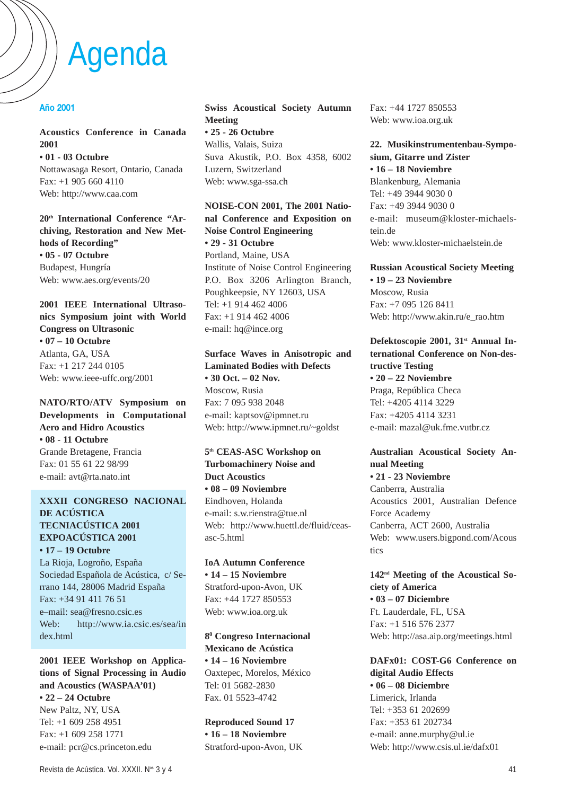# Agenda

#### **Año 2001**

#### **Acoustics Conference in Canada 2001 • 01 - 03 Octubre**

Nottawasaga Resort, Ontario, Canada Fax: +1 905 660 4110 Web: http://www.caa.com

**20th International Conference "Archiving, Restoration and New Methods of Recording" • 05 - 07 Octubre**

Budapest, Hungría Web: www.aes.org/events/20

**2001 IEEE International Ultrasonics Symposium joint with World Congress on Ultrasonic • 07 – 10 Octubre** Atlanta, GA, USA Fax: +1 217 244 0105 Web: www.ieee-uffc.org/2001

**NATO/RTO/ATV Symposium on Developments in Computational Aero and Hidro Acoustics • 08 - 11 Octubre** Grande Bretagene, Francia Fax: 01 55 61 22 98/99 e-mail: avt@rta.nato.int

#### **XXXII CONGRESO NACIONAL DE ACÚSTICA TECNIACÚSTICA 2001 EXPOACÚSTICA 2001 • 17 – 19 Octubre**

La Rioja, Logroño, España Sociedad Española de Acústica, c/ Serrano 144, 28006 Madrid España Fax: +34 91 411 76 51 e–mail: sea@fresno.csic.es Web: http://www.ia.csic.es/sea/in dex.html

**2001 IEEE Workshop on Applications of Signal Processing in Audio and Acoustics (WASPAA'01) • 22 – 24 Octubre** New Paltz, NY, USA Tel: +1 609 258 4951 Fax: +1 609 258 1771 e-mail: pcr@cs.princeton.edu

**Swiss Acoustical Society Autumn Meeting • 25 - 26 Octubre** Wallis, Valais, Suiza Suva Akustik, P.O. Box 4358, 6002 Luzern, Switzerland

# **NOISE-CON 2001, The 2001 National Conference and Exposition on Noise Control Engineering • 29 - 31 Octubre**

Web: www.sga-ssa.ch

Portland, Maine, USA Institute of Noise Control Engineering P.O. Box 3206 Arlington Branch, Poughkeepsie, NY 12603, USA Tel: +1 914 462 4006 Fax: +1 914 462 4006 e-mail: hq@ince.org

# **Surface Waves in Anisotropic and Laminated Bodies with Defects • 30 Oct. – 02 Nov.**

Moscow, Rusia Fax: 7 095 938 2048 e-mail: kaptsov@ipmnet.ru Web: http://www.ipmnet.ru/~goldst

#### **5th CEAS-ASC Workshop on Turbomachinery Noise and Duct Acoustics • 08 – 09 Noviembre** Eindhoven, Holanda e-mail: s.w.rienstra@tue.nl Web: http://www.huettl.de/fluid/ceasasc-5.html

**IoA Autumn Conference • 14 – 15 Noviembre** Stratford-upon-Avon, UK Fax: +44 1727 850553 Web: www.ioa.org.uk

**80 Congreso Internacional Mexicano de Acústica • 14 – 16 Noviembre** Oaxtepec, Morelos, México Tel: 01 5682-2830 Fax. 01 5523-4742

**Reproduced Sound 17 • 16 – 18 Noviembre** Stratford-upon-Avon, UK Fax: +44 1727 850553 Web: www.ioa.org.uk

**22. Musikinstrumentenbau-Symposium, Gitarre und Zister • 16 – 18 Noviembre** Blankenburg, Alemania Tel: +49 3944 9030 0 Fax: +49 3944 9030 0 e-mail: museum@kloster-michaelstein.de Web: www.kloster-michaelstein.de

**Russian Acoustical Society Meeting • 19 – 23 Noviembre** Moscow, Rusia Fax: +7 095 126 8411 Web: http://www.akin.ru/e\_rao.htm

Defektoscopie 2001, 31<sup>st</sup> Annual In**ternational Conference on Non-destructive Testing • 20 – 22 Noviembre** Praga, República Checa Tel: +4205 4114 3229 Fax: +4205 4114 3231 e-mail: mazal@uk.fme.vutbr.cz

# **Australian Acoustical Society Annual Meeting • 21 - 23 Noviembre** Canberra, Australia Acoustics 2001, Australian Defence

Force Academy Canberra, ACT 2600, Australia Web: www.users.bigpond.com/Acous tics

**142nd Meeting of the Acoustical Society of America • 03 – 07 Diciembre** Ft. Lauderdale, FL, USA Fax: +1 516 576 2377 Web: http://asa.aip.org/meetings.html

**DAFx01: COST-G6 Conference on digital Audio Effects • 06 – 08 Diciembre** Limerick, Irlanda Tel: +353 61 202699 Fax: +353 61 202734 e-mail: anne.murphy@ul.ie Web: http://www.csis.ul.ie/dafx01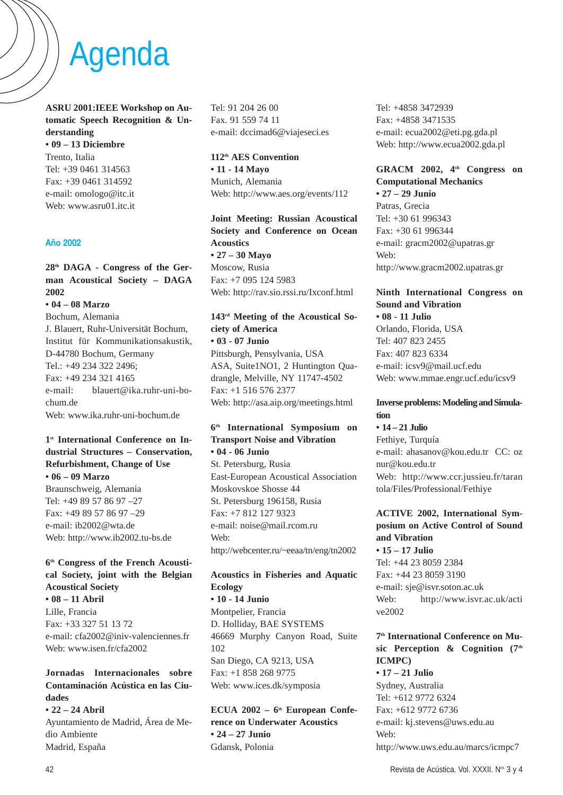# Agenda

**ASRU 2001:IEEE Workshop on Automatic Speech Recognition & Understanding • 09 – 13 Diciembre** Trento, Italia

Tel: +39 0461 314563 Fax: +39 0461 314592 e-mail: omologo@itc.it Web: www.asru01.itc.it

#### **Año 2002**

## **28th DAGA - Congress of the German Acoustical Society – DAGA 2002**

**• 04 – 08 Marzo**

Bochum, Alemania J. Blauert, Ruhr-Universität Bochum, Institut für Kommunikationsakustik, D-44780 Bochum, Germany Tel.: +49 234 322 2496; Fax: +49 234 321 4165 e-mail: blauert@ika.ruhr-uni-bochum.de Web: www.ika.ruhr-uni-bochum.de

#### **1st International Conference on Industrial Structures – Conservation, Refurbishment, Change of Use • 06 – 09 Marzo**

Braunschweig, Alemania Tel: +49 89 57 86 97 –27 Fax: +49 89 57 86 97 –29 e-mail: ib2002@wta.de Web: http://www.ib2002.tu-bs.de

#### **6th Congress of the French Acoustical Society, joint with the Belgian Acoustical Society**

**• 08 – 11 Abril** Lille, Francia Fax: +33 327 51 13 72 e-mail: cfa2002@iniv-valenciennes.fr Web: www.isen.fr/cfa2002

# **Jornadas Internacionales sobre Contaminación Acústica en las Ciudades**

**• 22 – 24 Abril** Ayuntamiento de Madrid, Área de Medio Ambiente Madrid, España

Tel: 91 204 26 00 Fax. 91 559 74 11 e-mail: dccimad6@viajeseci.es

**112th AES Convention • 11 - 14 Mayo** Munich, Alemania Web: http://www.aes.org/events/112

**Joint Meeting: Russian Acoustical Society and Conference on Ocean Acoustics • 27 – 30 Mayo** Moscow, Rusia Fax: +7 095 124 5983 Web: http://rav.sio.rssi.ru/Ixconf.html

#### **143rd Meeting of the Acoustical Society of America • 03 - 07 Junio**

Pittsburgh, Pensylvania, USA ASA, Suite1NO1, 2 Huntington Quadrangle, Melville, NY 11747-4502 Fax: +1 516 576 2377 Web: http://asa.aip.org/meetings.html

### **6th International Symposium on Transport Noise and Vibration • 04 - 06 Junio**

St. Petersburg, Rusia East-European Acoustical Association Moskovskoe Shosse 44 St. Petersburg 196158, Rusia Fax: +7 812 127 9323 e-mail: noise@mail.rcom.ru Web: http://webcenter.ru/~eeaa/tn/eng/tn2002

# **Acoustics in Fisheries and Aquatic Ecology**

**• 10 - 14 Junio** Montpelier, Francia D. Holliday, BAE SYSTEMS 46669 Murphy Canyon Road, Suite 102 San Diego, CA 9213, USA Fax: +1 858 268 9775 Web: www.ices.dk/symposia

ECUA 2002 – 6<sup>th</sup> European Confe**rence on Underwater Acoustics • 24 – 27 Junio** Gdansk, Polonia

Tel: +4858 3472939 Fax: +4858 3471535 e-mail: ecua2002@eti.pg.gda.pl Web: http://www.ecua2002.gda.pl

**GRACM 2002, 4th Congress on Computational Mechanics • 27 – 29 Junio**

Patras, Grecia Tel: +30 61 996343 Fax: +30 61 996344 e-mail: gracm2002@upatras.gr Web: http://www.gracm2002.upatras.gr

#### **Ninth International Congress on Sound and Vibration • 08 - 11 Julio**

Orlando, Florida, USA Tel: 407 823 2455 Fax: 407 823 6334 e-mail: icsv9@mail.ucf.edu Web: www.mmae.engr.ucf.edu/icsv9

#### **Inverse problems: Modeling and Simulation**

**• 14 – 21 Julio**

Fethiye, Turquía e-mail: ahasanov@kou.edu.tr CC: oz nur@kou.edu.tr Web: http://www.ccr.jussieu.fr/taran tola/Files/Professional/Fethiye

#### **ACTIVE 2002, International Symposium on Active Control of Sound and Vibration • 15 – 17 Julio**

Tel: +44 23 8059 2384 Fax: +44 23 8059 3190 e-mail: sje@isvr.soton.ac.uk Web: http://www.isvr.ac.uk/acti ve2002

# **7th International Conference on Music Perception & Cognition (7th ICMPC)**

**• 17 – 21 Julio** Sydney, Australia Tel: +612 9772 6324 Fax: +612 9772 6736 e-mail: kj.stevens@uws.edu.au Web: http://www.uws.edu.au/marcs/icmpc7